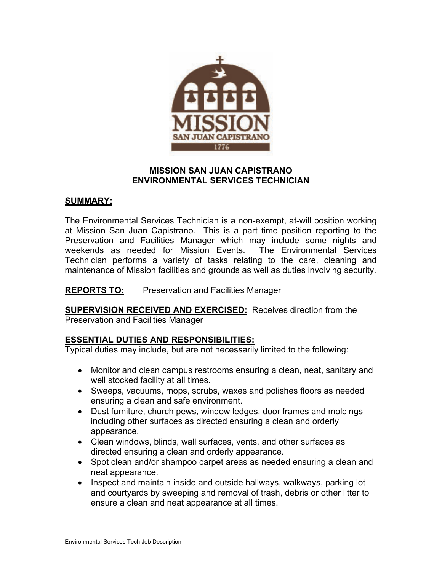

### **MISSION SAN JUAN CAPISTRANO ENVIRONMENTAL SERVICES TECHNICIAN**

### **SUMMARY:**

The Environmental Services Technician is a non-exempt, at-will position working at Mission San Juan Capistrano. This is a part time position reporting to the Preservation and Facilities Manager which may include some nights and weekends as needed for Mission Events. The Environmental Services Technician performs a variety of tasks relating to the care, cleaning and maintenance of Mission facilities and grounds as well as duties involving security.

**REPORTS TO:** Preservation and Facilities Manager

**SUPERVISION RECEIVED AND EXERCISED:** Receives direction from the Preservation and Facilities Manager

### **ESSENTIAL DUTIES AND RESPONSIBILITIES:**

Typical duties may include, but are not necessarily limited to the following:

- Monitor and clean campus restrooms ensuring a clean, neat, sanitary and well stocked facility at all times.
- Sweeps, vacuums, mops, scrubs, waxes and polishes floors as needed ensuring a clean and safe environment.
- Dust furniture, church pews, window ledges, door frames and moldings including other surfaces as directed ensuring a clean and orderly appearance.
- Clean windows, blinds, wall surfaces, vents, and other surfaces as directed ensuring a clean and orderly appearance.
- Spot clean and/or shampoo carpet areas as needed ensuring a clean and neat appearance.
- Inspect and maintain inside and outside hallways, walkways, parking lot and courtyards by sweeping and removal of trash, debris or other litter to ensure a clean and neat appearance at all times.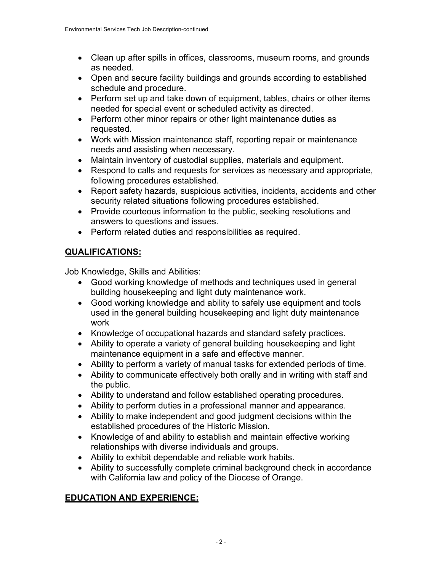- Clean up after spills in offices, classrooms, museum rooms, and grounds as needed.
- Open and secure facility buildings and grounds according to established schedule and procedure.
- Perform set up and take down of equipment, tables, chairs or other items needed for special event or scheduled activity as directed.
- Perform other minor repairs or other light maintenance duties as requested.
- Work with Mission maintenance staff, reporting repair or maintenance needs and assisting when necessary.
- Maintain inventory of custodial supplies, materials and equipment.
- Respond to calls and requests for services as necessary and appropriate, following procedures established.
- Report safety hazards, suspicious activities, incidents, accidents and other security related situations following procedures established.
- Provide courteous information to the public, seeking resolutions and answers to questions and issues.
- Perform related duties and responsibilities as required.

# **QUALIFICATIONS:**

Job Knowledge, Skills and Abilities:

- Good working knowledge of methods and techniques used in general building housekeeping and light duty maintenance work.
- Good working knowledge and ability to safely use equipment and tools used in the general building housekeeping and light duty maintenance work
- Knowledge of occupational hazards and standard safety practices.
- Ability to operate a variety of general building housekeeping and light maintenance equipment in a safe and effective manner.
- Ability to perform a variety of manual tasks for extended periods of time.
- Ability to communicate effectively both orally and in writing with staff and the public.
- Ability to understand and follow established operating procedures.
- Ability to perform duties in a professional manner and appearance.
- Ability to make independent and good judgment decisions within the established procedures of the Historic Mission.
- Knowledge of and ability to establish and maintain effective working relationships with diverse individuals and groups.
- Ability to exhibit dependable and reliable work habits.
- Ability to successfully complete criminal background check in accordance with California law and policy of the Diocese of Orange.

# **EDUCATION AND EXPERIENCE:**